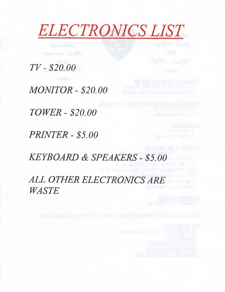# **ELECTRONICS LIST**

 $TV - $20.00$ 

**MONITOR - \$20.00** 

**TOWER - \$20.00** 

PRINTER - \$5.00

**KEYBOARD & SPEAKERS - \$5.00** ALL OTHER ELECTRONICS ARE

WASTE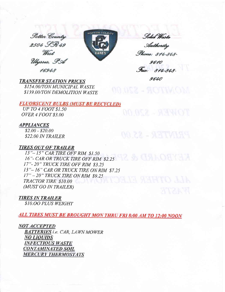Potter Country 2504 SR 49 West Ulysses, PA 16948



Solid Waste Authority *Phone: 814-848* 

9610 Fax: 814-848-9640

MONITOR - S20.00

**TRANSFER STATION PRICES** 

\$154.00/TON MUNICIPAL WASTE \$139.00/TON DEMOLITION WASTE

## **FLUORSCENT BULBS (MUST BE RECYCLED)**

UP TO 4 FOOT \$1.50 OVER 4 FOOT \$3.00

## **APPLIANCES**

 $$2.00 - $20.00$ \$22.00 IN TRAILER

PRINTER - S5.00

# **TIRES OUT OF TRAILER**

13"-15" CAR TIRE OFF RIM \$1.50 16"- CAR OR TRUCK TIRE OFF RIM \$2.25 17"-20" TRUCK TIRE OFF RIM \$3.25 13"-16" CAR OR TRUCK TIRE ON RIM \$7.25 17" - 20" TRUCK TIRE ON RIM \$9.25 TRACTOR TIRE \$10.00 (MUST GO IN TRAILER)

**TIRES IN TRAILER** 

**\$10.00 PLUS WEIGHT** 

**ALL TIRES MUST BE BROUGHT MON THRU FRI 8:00 AM TO 12:00 NOON** 

**NOT ACCEPTED BATTERIES** i.e. CAR, LAWN MOWER **NO LIQUIDS INFECTIOUS WASTE CONTAMINATED SOIL MERCURY THERMOSTATS**